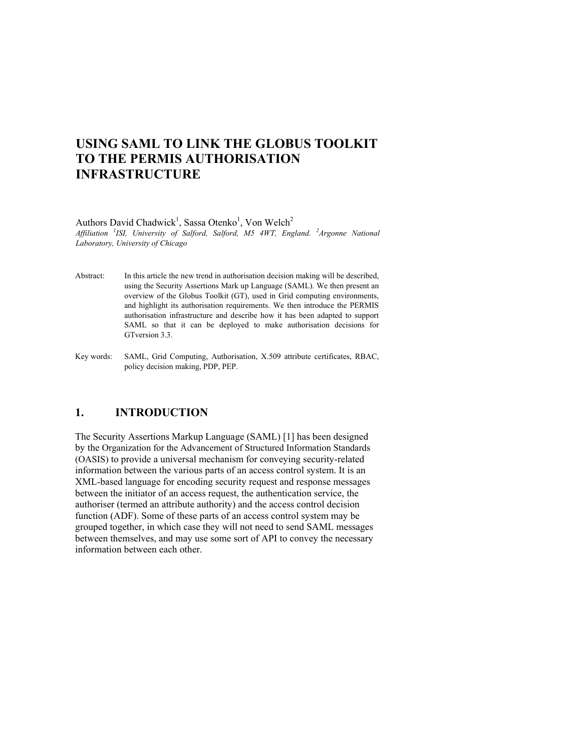# **USING SAML TO LINK THE GLOBUS TOOLKIT TO THE PERMIS AUTHORISATION INFRASTRUCTURE**

Authors David Chadwick<sup>1</sup>, Sassa Otenko<sup>1</sup>, Von Welch<sup>2</sup> *Affiliation <sup>1</sup> ISI, University of Salford, Salford, M5 4WT, England. <sup>2</sup> Argonne National Laboratory, University of Chicago*

- Abstract: In this article the new trend in authorisation decision making will be described, using the Security Assertions Mark up Language (SAML). We then present an overview of the Globus Toolkit (GT), used in Grid computing environments, and highlight its authorisation requirements. We then introduce the PERMIS authorisation infrastructure and describe how it has been adapted to support SAML so that it can be deployed to make authorisation decisions for GTversion 3.3.
- Key words: SAML, Grid Computing, Authorisation, X.509 attribute certificates, RBAC, policy decision making, PDP, PEP.

## **1. INTRODUCTION**

The Security Assertions Markup Language (SAML) [1] has been designed by the Organization for the Advancement of Structured Information Standards (OASIS) to provide a universal mechanism for conveying security-related information between the various parts of an access control system. It is an XML-based language for encoding security request and response messages between the initiator of an access request, the authentication service, the authoriser (termed an attribute authority) and the access control decision function (ADF). Some of these parts of an access control system may be grouped together, in which case they will not need to send SAML messages between themselves, and may use some sort of API to convey the necessary information between each other.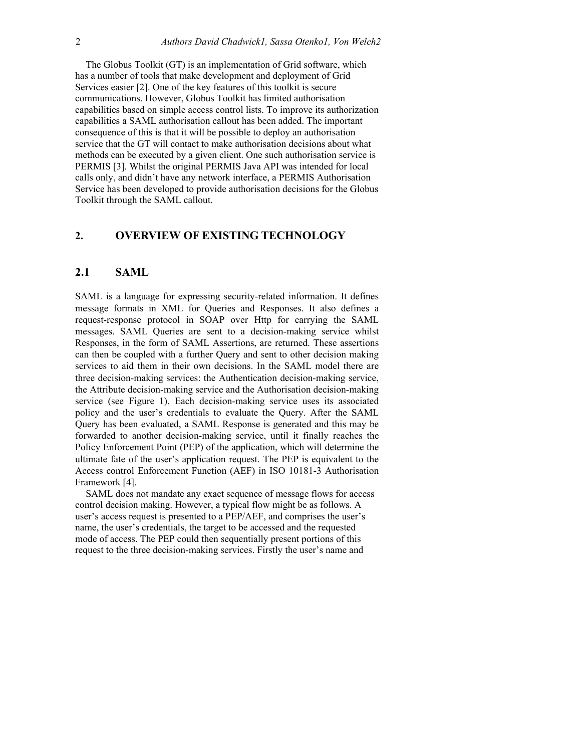The Globus Toolkit (GT) is an implementation of Grid software, which has a number of tools that make development and deployment of Grid Services easier [2]. One of the key features of this toolkit is secure communications. However, Globus Toolkit has limited authorisation capabilities based on simple access control lists. To improve its authorization capabilities a SAML authorisation callout has been added. The important consequence of this is that it will be possible to deploy an authorisation service that the GT will contact to make authorisation decisions about what methods can be executed by a given client. One such authorisation service is PERMIS [3]. Whilst the original PERMIS Java API was intended for local calls only, and didn't have any network interface, a PERMIS Authorisation Service has been developed to provide authorisation decisions for the Globus Toolkit through the SAML callout.

### **2. OVERVIEW OF EXISTING TECHNOLOGY**

### **2.1 SAML**

SAML is a language for expressing security-related information. It defines message formats in XML for Queries and Responses. It also defines a request-response protocol in SOAP over Http for carrying the SAML messages. SAML Queries are sent to a decision-making service whilst Responses, in the form of SAML Assertions, are returned. These assertions can then be coupled with a further Query and sent to other decision making services to aid them in their own decisions. In the SAML model there are three decision-making services: the Authentication decision-making service, the Attribute decision-making service and the Authorisation decision-making service (see Figure 1). Each decision-making service uses its associated policy and the user's credentials to evaluate the Query. After the SAML Query has been evaluated, a SAML Response is generated and this may be forwarded to another decision-making service, until it finally reaches the Policy Enforcement Point (PEP) of the application, which will determine the ultimate fate of the user's application request. The PEP is equivalent to the Access control Enforcement Function (AEF) in ISO 10181-3 Authorisation Framework [4].

SAML does not mandate any exact sequence of message flows for access control decision making. However, a typical flow might be as follows. A user's access request is presented to a PEP/AEF, and comprises the user's name, the user's credentials, the target to be accessed and the requested mode of access. The PEP could then sequentially present portions of this request to the three decision-making services. Firstly the user's name and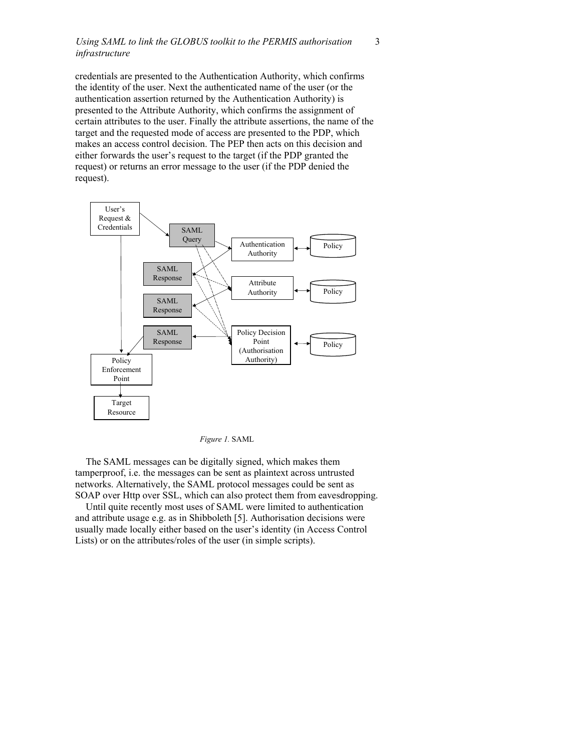credentials are presented to the Authentication Authority, which confirms the identity of the user. Next the authenticated name of the user (or the authentication assertion returned by the Authentication Authority) is presented to the Attribute Authority, which confirms the assignment of certain attributes to the user. Finally the attribute assertions, the name of the target and the requested mode of access are presented to the PDP, which makes an access control decision. The PEP then acts on this decision and either forwards the user's request to the target (if the PDP granted the request) or returns an error message to the user (if the PDP denied the request).



*Figure 1.* SAML

The SAML messages can be digitally signed, which makes them tamperproof, i.e. the messages can be sent as plaintext across untrusted networks. Alternatively, the SAML protocol messages could be sent as SOAP over Http over SSL, which can also protect them from eavesdropping.

Until quite recently most uses of SAML were limited to authentication and attribute usage e.g. as in Shibboleth [5]. Authorisation decisions were usually made locally either based on the user's identity (in Access Control Lists) or on the attributes/roles of the user (in simple scripts).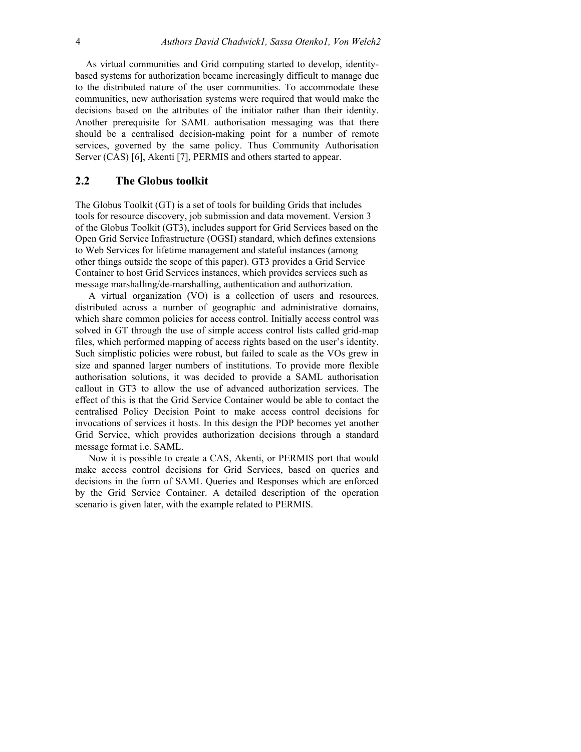As virtual communities and Grid computing started to develop, identitybased systems for authorization became increasingly difficult to manage due to the distributed nature of the user communities. To accommodate these communities, new authorisation systems were required that would make the decisions based on the attributes of the initiator rather than their identity. Another prerequisite for SAML authorisation messaging was that there should be a centralised decision-making point for a number of remote services, governed by the same policy. Thus Community Authorisation Server (CAS) [6], Akenti [7], PERMIS and others started to appear.

#### **2.2 The Globus toolkit**

The Globus Toolkit (GT) is a set of tools for building Grids that includes tools for resource discovery, job submission and data movement. Version 3 of the Globus Toolkit (GT3), includes support for Grid Services based on the Open Grid Service Infrastructure (OGSI) standard, which defines extensions to Web Services for lifetime management and stateful instances (among other things outside the scope of this paper). GT3 provides a Grid Service Container to host Grid Services instances, which provides services such as message marshalling/de-marshalling, authentication and authorization.

A virtual organization (VO) is a collection of users and resources, distributed across a number of geographic and administrative domains, which share common policies for access control. Initially access control was solved in GT through the use of simple access control lists called grid-map files, which performed mapping of access rights based on the user's identity. Such simplistic policies were robust, but failed to scale as the VOs grew in size and spanned larger numbers of institutions. To provide more flexible authorisation solutions, it was decided to provide a SAML authorisation callout in GT3 to allow the use of advanced authorization services. The effect of this is that the Grid Service Container would be able to contact the centralised Policy Decision Point to make access control decisions for invocations of services it hosts. In this design the PDP becomes yet another Grid Service, which provides authorization decisions through a standard message format i.e. SAML.

Now it is possible to create a CAS, Akenti, or PERMIS port that would make access control decisions for Grid Services, based on queries and decisions in the form of SAML Queries and Responses which are enforced by the Grid Service Container. A detailed description of the operation scenario is given later, with the example related to PERMIS.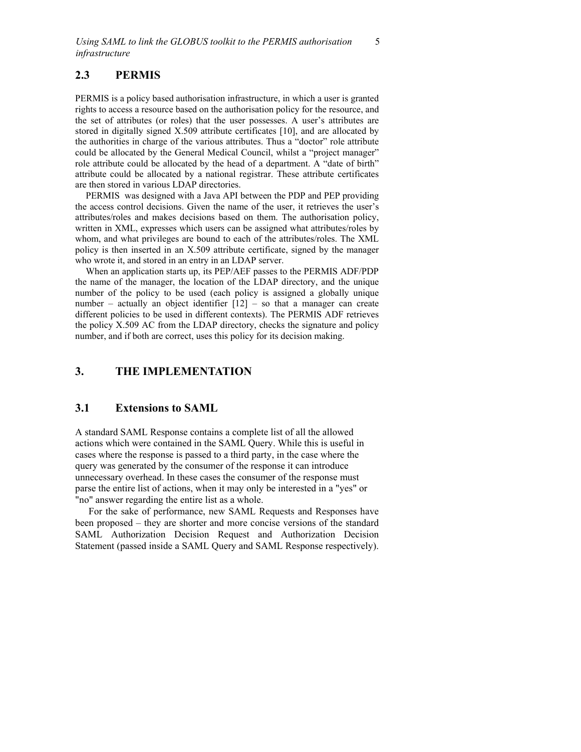### **2.3 PERMIS**

PERMIS is a policy based authorisation infrastructure, in which a user is granted rights to access a resource based on the authorisation policy for the resource, and the set of attributes (or roles) that the user possesses. A user's attributes are stored in digitally signed X.509 attribute certificates [10], and are allocated by the authorities in charge of the various attributes. Thus a "doctor" role attribute could be allocated by the General Medical Council, whilst a "project manager" role attribute could be allocated by the head of a department. A "date of birth" attribute could be allocated by a national registrar. These attribute certificates are then stored in various LDAP directories.

PERMIS was designed with a Java API between the PDP and PEP providing the access control decisions. Given the name of the user, it retrieves the user's attributes/roles and makes decisions based on them. The authorisation policy, written in XML, expresses which users can be assigned what attributes/roles by whom, and what privileges are bound to each of the attributes/roles. The XML policy is then inserted in an X.509 attribute certificate, signed by the manager who wrote it, and stored in an entry in an LDAP server.

When an application starts up, its PEP/AEF passes to the PERMIS ADF/PDP the name of the manager, the location of the LDAP directory, and the unique number of the policy to be used (each policy is assigned a globally unique number – actually an object identifier  $[12]$  – so that a manager can create different policies to be used in different contexts). The PERMIS ADF retrieves the policy X.509 AC from the LDAP directory, checks the signature and policy number, and if both are correct, uses this policy for its decision making.

### **3. THE IMPLEMENTATION**

### **3.1 Extensions to SAML**

A standard SAML Response contains a complete list of all the allowed actions which were contained in the SAML Query. While this is useful in cases where the response is passed to a third party, in the case where the query was generated by the consumer of the response it can introduce unnecessary overhead. In these cases the consumer of the response must parse the entire list of actions, when it may only be interested in a "yes" or "no" answer regarding the entire list as a whole.

For the sake of performance, new SAML Requests and Responses have been proposed – they are shorter and more concise versions of the standard SAML Authorization Decision Request and Authorization Decision Statement (passed inside a SAML Query and SAML Response respectively).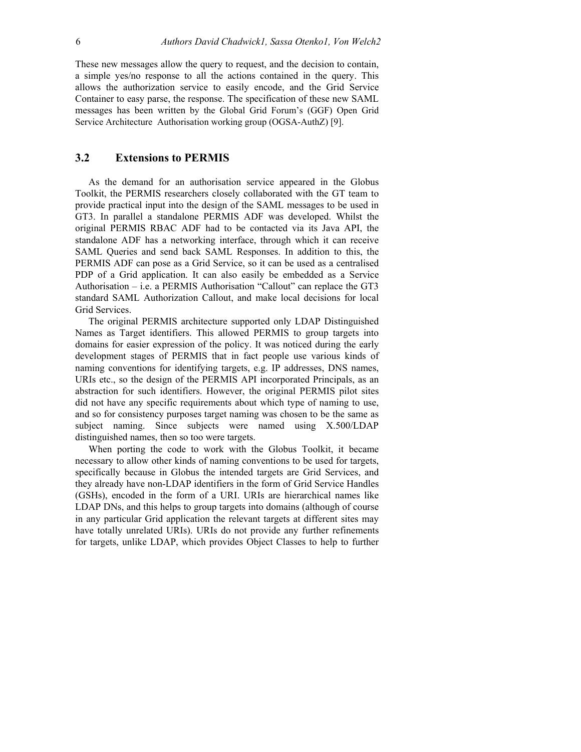These new messages allow the query to request, and the decision to contain, a simple yes/no response to all the actions contained in the query. This allows the authorization service to easily encode, and the Grid Service Container to easy parse, the response. The specification of these new SAML messages has been written by the Global Grid Forum's (GGF) Open Grid Service Architecture Authorisation working group (OGSA-AuthZ) [9].

#### **3.2 Extensions to PERMIS**

As the demand for an authorisation service appeared in the Globus Toolkit, the PERMIS researchers closely collaborated with the GT team to provide practical input into the design of the SAML messages to be used in GT3. In parallel a standalone PERMIS ADF was developed. Whilst the original PERMIS RBAC ADF had to be contacted via its Java API, the standalone ADF has a networking interface, through which it can receive SAML Queries and send back SAML Responses. In addition to this, the PERMIS ADF can pose as a Grid Service, so it can be used as a centralised PDP of a Grid application. It can also easily be embedded as a Service Authorisation – i.e. a PERMIS Authorisation "Callout" can replace the GT3 standard SAML Authorization Callout, and make local decisions for local Grid Services.

The original PERMIS architecture supported only LDAP Distinguished Names as Target identifiers. This allowed PERMIS to group targets into domains for easier expression of the policy. It was noticed during the early development stages of PERMIS that in fact people use various kinds of naming conventions for identifying targets, e.g. IP addresses, DNS names, URIs etc., so the design of the PERMIS API incorporated Principals, as an abstraction for such identifiers. However, the original PERMIS pilot sites did not have any specific requirements about which type of naming to use, and so for consistency purposes target naming was chosen to be the same as subject naming. Since subjects were named using X.500/LDAP distinguished names, then so too were targets.

When porting the code to work with the Globus Toolkit, it became necessary to allow other kinds of naming conventions to be used for targets, specifically because in Globus the intended targets are Grid Services, and they already have non-LDAP identifiers in the form of Grid Service Handles (GSHs), encoded in the form of a URI. URIs are hierarchical names like LDAP DNs, and this helps to group targets into domains (although of course in any particular Grid application the relevant targets at different sites may have totally unrelated URIs). URIs do not provide any further refinements for targets, unlike LDAP, which provides Object Classes to help to further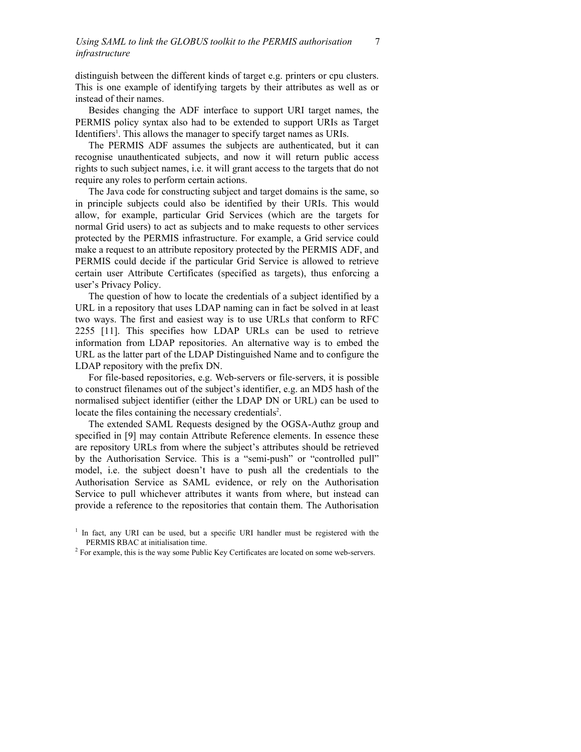distinguish between the different kinds of target e.g. printers or cpu clusters. This is one example of identifying targets by their attributes as well as or instead of their names.

Besides changing the ADF interface to support URI target names, the PERMIS policy syntax also had to be extended to support URIs as Target Identifiers<sup>1</sup>. This allows the manager to specify target names as URIs.

The PERMIS ADF assumes the subjects are authenticated, but it can recognise unauthenticated subjects, and now it will return public access rights to such subject names, i.e. it will grant access to the targets that do not require any roles to perform certain actions.

The Java code for constructing subject and target domains is the same, so in principle subjects could also be identified by their URIs. This would allow, for example, particular Grid Services (which are the targets for normal Grid users) to act as subjects and to make requests to other services protected by the PERMIS infrastructure. For example, a Grid service could make a request to an attribute repository protected by the PERMIS ADF, and PERMIS could decide if the particular Grid Service is allowed to retrieve certain user Attribute Certificates (specified as targets), thus enforcing a user's Privacy Policy.

The question of how to locate the credentials of a subject identified by a URL in a repository that uses LDAP naming can in fact be solved in at least two ways. The first and easiest way is to use URLs that conform to RFC 2255 [11]. This specifies how LDAP URLs can be used to retrieve information from LDAP repositories. An alternative way is to embed the URL as the latter part of the LDAP Distinguished Name and to configure the LDAP repository with the prefix DN.

For file-based repositories, e.g. Web-servers or file-servers, it is possible to construct filenames out of the subject's identifier, e.g. an MD5 hash of the normalised subject identifier (either the LDAP DN or URL) can be used to locate the files containing the necessary credentials<sup>2</sup>.

The extended SAML Requests designed by the OGSA-Authz group and specified in [9] may contain Attribute Reference elements. In essence these are repository URLs from where the subject's attributes should be retrieved by the Authorisation Service. This is a "semi-push" or "controlled pull" model, i.e. the subject doesn't have to push all the credentials to the Authorisation Service as SAML evidence, or rely on the Authorisation Service to pull whichever attributes it wants from where, but instead can provide a reference to the repositories that contain them. The Authorisation

<sup>&</sup>lt;sup>1</sup> In fact, any URI can be used, but a specific URI handler must be registered with the PERMIS RBAC at initialisation time.

<sup>&</sup>lt;sup>2</sup> For example, this is the way some Public Key Certificates are located on some web-servers.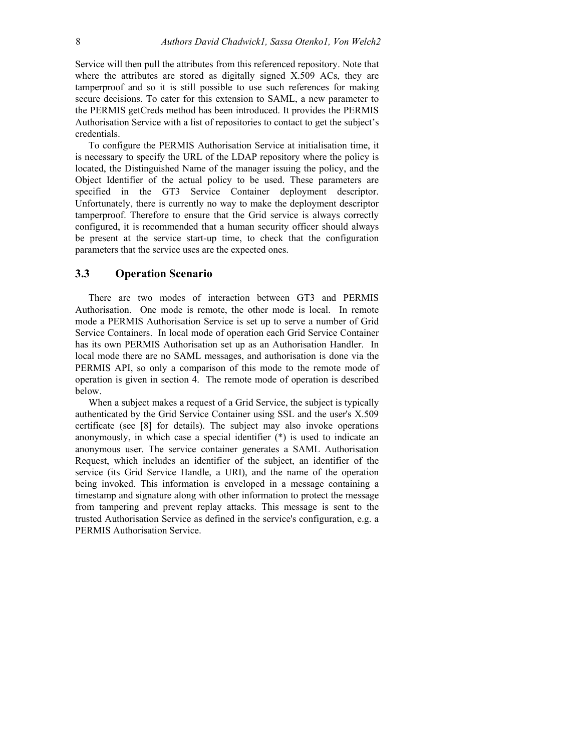Service will then pull the attributes from this referenced repository. Note that where the attributes are stored as digitally signed X.509 ACs, they are tamperproof and so it is still possible to use such references for making secure decisions. To cater for this extension to SAML, a new parameter to the PERMIS getCreds method has been introduced. It provides the PERMIS Authorisation Service with a list of repositories to contact to get the subject's credentials.

To configure the PERMIS Authorisation Service at initialisation time, it is necessary to specify the URL of the LDAP repository where the policy is located, the Distinguished Name of the manager issuing the policy, and the Object Identifier of the actual policy to be used. These parameters are specified in the GT3 Service Container deployment descriptor. Unfortunately, there is currently no way to make the deployment descriptor tamperproof. Therefore to ensure that the Grid service is always correctly configured, it is recommended that a human security officer should always be present at the service start-up time, to check that the configuration parameters that the service uses are the expected ones.

### **3.3 Operation Scenario**

There are two modes of interaction between GT3 and PERMIS Authorisation. One mode is remote, the other mode is local. In remote mode a PERMIS Authorisation Service is set up to serve a number of Grid Service Containers. In local mode of operation each Grid Service Container has its own PERMIS Authorisation set up as an Authorisation Handler. In local mode there are no SAML messages, and authorisation is done via the PERMIS API, so only a comparison of this mode to the remote mode of operation is given in section 4. The remote mode of operation is described below.

When a subject makes a request of a Grid Service, the subject is typically authenticated by the Grid Service Container using SSL and the user's X.509 certificate (see [8] for details). The subject may also invoke operations anonymously, in which case a special identifier (\*) is used to indicate an anonymous user. The service container generates a SAML Authorisation Request, which includes an identifier of the subject, an identifier of the service (its Grid Service Handle, a URI), and the name of the operation being invoked. This information is enveloped in a message containing a timestamp and signature along with other information to protect the message from tampering and prevent replay attacks. This message is sent to the trusted Authorisation Service as defined in the service's configuration, e.g. a PERMIS Authorisation Service.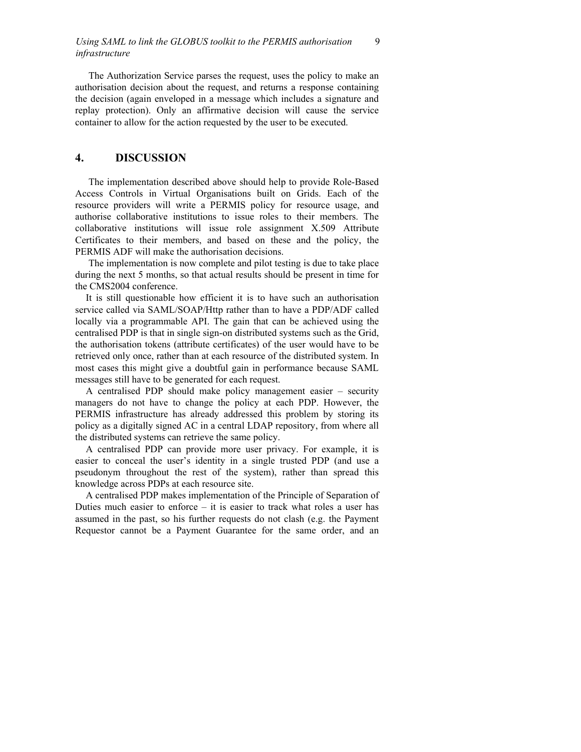The Authorization Service parses the request, uses the policy to make an authorisation decision about the request, and returns a response containing the decision (again enveloped in a message which includes a signature and replay protection). Only an affirmative decision will cause the service container to allow for the action requested by the user to be executed.

### **4. DISCUSSION**

The implementation described above should help to provide Role-Based Access Controls in Virtual Organisations built on Grids. Each of the resource providers will write a PERMIS policy for resource usage, and authorise collaborative institutions to issue roles to their members. The collaborative institutions will issue role assignment X.509 Attribute Certificates to their members, and based on these and the policy, the PERMIS ADF will make the authorisation decisions.

The implementation is now complete and pilot testing is due to take place during the next 5 months, so that actual results should be present in time for the CMS2004 conference.

It is still questionable how efficient it is to have such an authorisation service called via SAML/SOAP/Http rather than to have a PDP/ADF called locally via a programmable API. The gain that can be achieved using the centralised PDP is that in single sign-on distributed systems such as the Grid, the authorisation tokens (attribute certificates) of the user would have to be retrieved only once, rather than at each resource of the distributed system. In most cases this might give a doubtful gain in performance because SAML messages still have to be generated for each request.

A centralised PDP should make policy management easier – security managers do not have to change the policy at each PDP. However, the PERMIS infrastructure has already addressed this problem by storing its policy as a digitally signed AC in a central LDAP repository, from where all the distributed systems can retrieve the same policy.

A centralised PDP can provide more user privacy. For example, it is easier to conceal the user's identity in a single trusted PDP (and use a pseudonym throughout the rest of the system), rather than spread this knowledge across PDPs at each resource site.

A centralised PDP makes implementation of the Principle of Separation of Duties much easier to enforce – it is easier to track what roles a user has assumed in the past, so his further requests do not clash (e.g. the Payment Requestor cannot be a Payment Guarantee for the same order, and an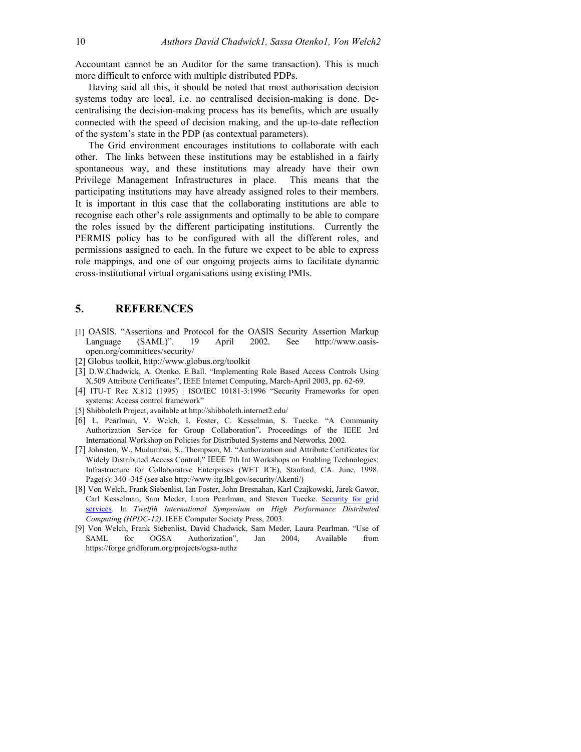Accountant cannot be an Auditor for the same transaction). This is much more difficult to enforce with multiple distributed PDPs.

Having said all this, it should be noted that most authorisation decision systems today are local, i.e. no centralised decision-making is done. Decentralising the decision-making process has its benefits, which are usually connected with the speed of decision making, and the up-to-date reflection of the system's state in the PDP (as contextual parameters).

The Grid environment encourages institutions to collaborate with each other. The links between these institutions may be established in a fairly spontaneous way, and these institutions may already have their own Privilege Management Infrastructures in place. This means that the participating institutions may have already assigned roles to their members. It is important in this case that the collaborating institutions are able to recognise each other's role assignments and optimally to be able to compare the roles issued by the different participating institutions. Currently the PERMIS policy has to be configured with all the different roles, and permissions assigned to each. In the future we expect to be able to express role mappings, and one of our ongoing projects aims to facilitate dynamic cross-institutional virtual organisations using existing PMIs.

#### **5. REFERENCES**

- [1] OASIS. "Assertions and Protocol for the OASIS Security Assertion Markup Language (SAML)". 19 April 2002. See http://www.oasisopen.org/committees/security/
- [2] Globus toolkit, http://www.globus.org/toolkit
- [3] D.W.Chadwick, A. Otenko, E.Ball. "Implementing Role Based Access Controls Using X.509 Attribute Certificates", IEEE Internet Computing, March-April 2003, pp. 62-69.
- [4] ITU-T Rec X.812 (1995) | ISO/IEC 10181-3:1996 "Security Frameworks for open systems: Access control framework"
- [5] Shibboleth Project, available at http://shibboleth.internet2.edu/
- [6] L. Pearlman, V. Welch, I. Foster, C. Kesselman, S. Tuecke. "A Community Authorization Service for Group Collaboration"**.** Proceedings of the IEEE 3rd International Workshop on Policies for Distributed Systems and Networks*,* 2002.
- [7] Johnston, W., Mudumbai, S., Thompson, M. "Authorization and Attribute Certificates for Widely Distributed Access Control," IEEE 7th Int Workshops on Enabling Technologies: Infrastructure for Collaborative Enterprises (WET ICE), Stanford, CA. June, 1998. Page(s): 340 -345 (see also http://www-itg.lbl.gov/security/Akenti/)
- [8] Von Welch, Frank Siebenlist, Ian Foster, John Bresnahan, Karl Czajkowski, Jarek Gawor, Carl Kesselman, Sam Meder, Laura Pearlman, and Steven Tuecke. Security for grid services. In *Twelfth International Symposium on High Performance Distributed Computing (HPDC-12)*. IEEE Computer Society Press, 2003.
- [9] Von Welch, Frank Siebenlist, David Chadwick, Sam Meder, Laura Pearlman. "Use of SAML for OGSA Authorization", Jan 2004, Available from https://forge.gridforum.org/projects/ogsa-authz